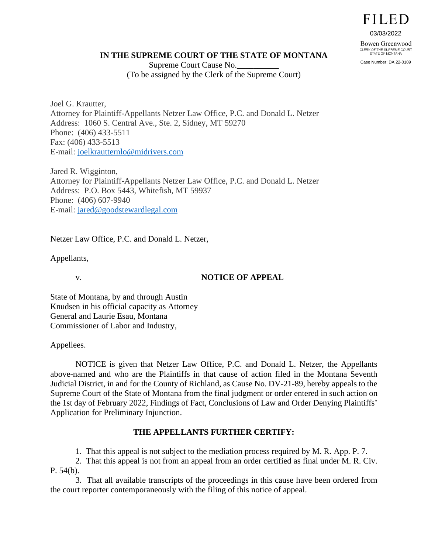# **FILED**

03/03/2022

Bowen Greenwood CLERK OF THE SUPREME COURT<br>STATE OF MONTANA

Case Number: DA 22-0109

#### **IN THE SUPREME COURT OF THE STATE OF MONTANA**

Supreme Court Cause No.\_\_\_\_\_\_\_\_\_\_ (To be assigned by the Clerk of the Supreme Court)

Joel G. Krautter, Attorney for Plaintiff-Appellants Netzer Law Office, P.C. and Donald L. Netzer Address: 1060 S. Central Ave., Ste. 2, Sidney, MT 59270 Phone: (406) 433-5511 Fax: (406) 433-5513 E-mail: [joelkrautternlo@midrivers.com](mailto:joelkrautternlo@midrivers.com)

Jared R. Wigginton, Attorney for Plaintiff-Appellants Netzer Law Office, P.C. and Donald L. Netzer Address: P.O. Box 5443, Whitefish, MT 59937 Phone: (406) 607-9940 E-mail: [jared@goodstewardlegal.com](mailto:jared@goodstewardlegal.com)

Netzer Law Office, P.C. and Donald L. Netzer,

Appellants,

### v. **NOTICE OF APPEAL**

State of Montana, by and through Austin Knudsen in his official capacity as Attorney General and Laurie Esau, Montana Commissioner of Labor and Industry,

Appellees.

NOTICE is given that Netzer Law Office, P.C. and Donald L. Netzer, the Appellants above-named and who are the Plaintiffs in that cause of action filed in the Montana Seventh Judicial District, in and for the County of Richland, as Cause No. DV-21-89, hereby appeals to the Supreme Court of the State of Montana from the final judgment or order entered in such action on the 1st day of February 2022, Findings of Fact, Conclusions of Law and Order Denying Plaintiffs' Application for Preliminary Injunction.

### **THE APPELLANTS FURTHER CERTIFY:**

1. That this appeal is not subject to the mediation process required by M. R. App. P. 7.

2. That this appeal is not from an appeal from an order certified as final under M. R. Civ. P. 54(b).

3. That all available transcripts of the proceedings in this cause have been ordered from the court reporter contemporaneously with the filing of this notice of appeal.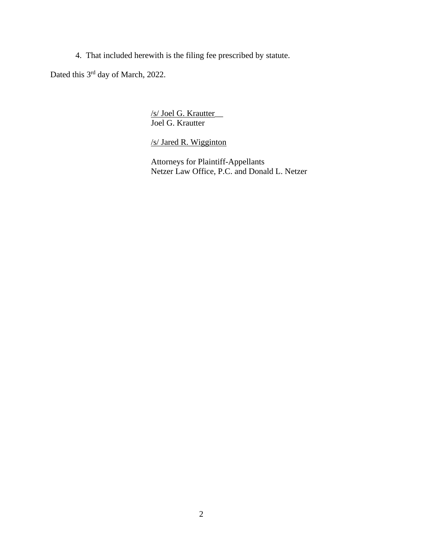4. That included herewith is the filing fee prescribed by statute.

Dated this 3<sup>rd</sup> day of March, 2022.

/s/ Joel G. Krautter\_\_ Joel G. Krautter

/s/ Jared R. Wigginton

Attorneys for Plaintiff-Appellants Netzer Law Office, P.C. and Donald L. Netzer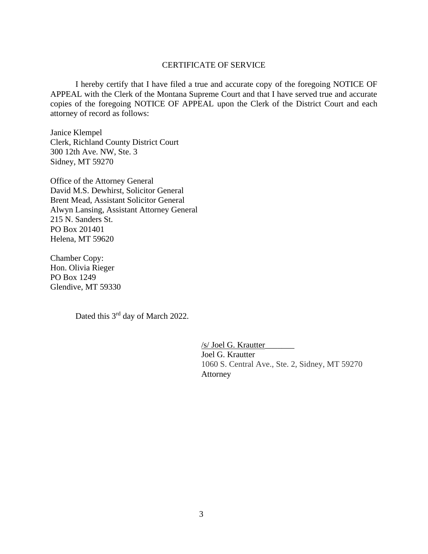#### CERTIFICATE OF SERVICE

I hereby certify that I have filed a true and accurate copy of the foregoing NOTICE OF APPEAL with the Clerk of the Montana Supreme Court and that I have served true and accurate copies of the foregoing NOTICE OF APPEAL upon the Clerk of the District Court and each attorney of record as follows:

Janice Klempel Clerk, Richland County District Court 300 12th Ave. NW, Ste. 3 Sidney, MT 59270

Office of the Attorney General David M.S. Dewhirst, Solicitor General Brent Mead, Assistant Solicitor General Alwyn Lansing, Assistant Attorney General 215 N. Sanders St. PO Box 201401 Helena, MT 59620

Chamber Copy: Hon. Olivia Rieger PO Box 1249 Glendive, MT 59330

Dated this 3<sup>rd</sup> day of March 2022.

 /s/ Joel G. Krautter\_\_\_\_\_\_\_ Joel G. Krautter 1060 S. Central Ave., Ste. 2, Sidney, MT 59270 Attorney